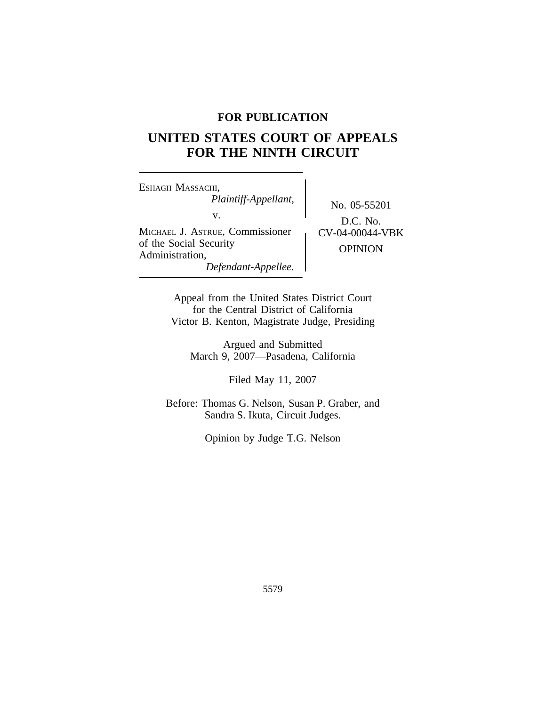# **FOR PUBLICATION**

# **UNITED STATES COURT OF APPEALS FOR THE NINTH CIRCUIT**

<sup>E</sup>SHAGH MASSACHI, *Plaintiff-Appellant,* No. 05-55201 MICHAEL J. ASTRUE, Commissioner (CV-04-00044-VBK) of the Social Security<br>Administration, OPINION *Defendant-Appellee.*

D.C. No.

Appeal from the United States District Court for the Central District of California Victor B. Kenton, Magistrate Judge, Presiding

> Argued and Submitted March 9, 2007—Pasadena, California

> > Filed May 11, 2007

Before: Thomas G. Nelson, Susan P. Graber, and Sandra S. Ikuta, Circuit Judges.

Opinion by Judge T.G. Nelson

5579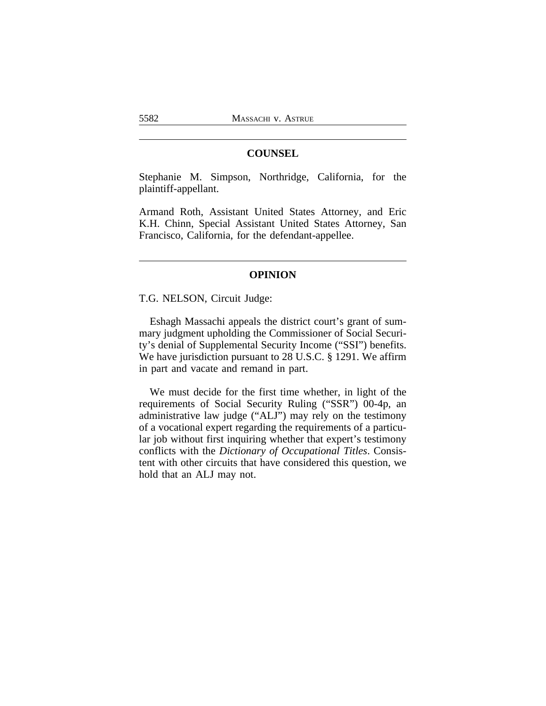## **COUNSEL**

Stephanie M. Simpson, Northridge, California, for the plaintiff-appellant.

Armand Roth, Assistant United States Attorney, and Eric K.H. Chinn, Special Assistant United States Attorney, San Francisco, California, for the defendant-appellee.

## **OPINION**

T.G. NELSON, Circuit Judge:

Eshagh Massachi appeals the district court's grant of summary judgment upholding the Commissioner of Social Security's denial of Supplemental Security Income ("SSI") benefits. We have jurisdiction pursuant to 28 U.S.C. § 1291. We affirm in part and vacate and remand in part.

We must decide for the first time whether, in light of the requirements of Social Security Ruling ("SSR") 00-4p, an administrative law judge ("ALJ") may rely on the testimony of a vocational expert regarding the requirements of a particular job without first inquiring whether that expert's testimony conflicts with the *Dictionary of Occupational Titles*. Consistent with other circuits that have considered this question, we hold that an ALJ may not.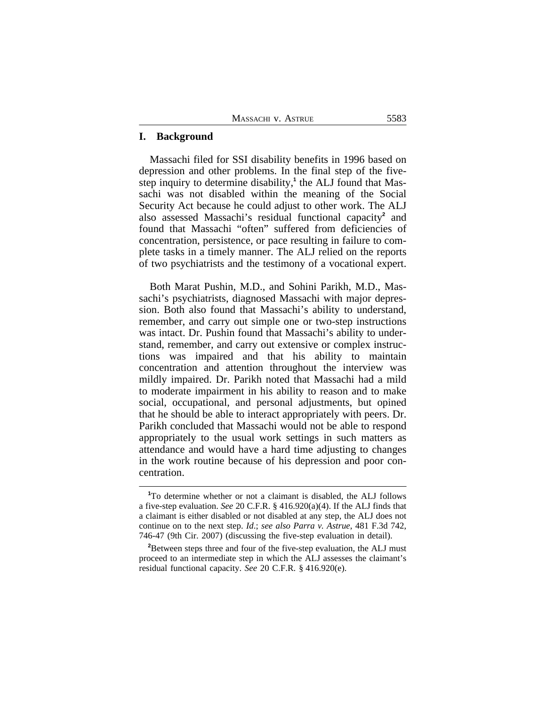### **I. Background**

Massachi filed for SSI disability benefits in 1996 based on depression and other problems. In the final step of the fivestep inquiry to determine disability,<sup>1</sup> the ALJ found that Massachi was not disabled within the meaning of the Social Security Act because he could adjust to other work. The ALJ also assessed Massachi's residual functional capacity**<sup>2</sup>** and found that Massachi "often" suffered from deficiencies of concentration, persistence, or pace resulting in failure to complete tasks in a timely manner. The ALJ relied on the reports of two psychiatrists and the testimony of a vocational expert.

Both Marat Pushin, M.D., and Sohini Parikh, M.D., Massachi's psychiatrists, diagnosed Massachi with major depression. Both also found that Massachi's ability to understand, remember, and carry out simple one or two-step instructions was intact. Dr. Pushin found that Massachi's ability to understand, remember, and carry out extensive or complex instructions was impaired and that his ability to maintain concentration and attention throughout the interview was mildly impaired. Dr. Parikh noted that Massachi had a mild to moderate impairment in his ability to reason and to make social, occupational, and personal adjustments, but opined that he should be able to interact appropriately with peers. Dr. Parikh concluded that Massachi would not be able to respond appropriately to the usual work settings in such matters as attendance and would have a hard time adjusting to changes in the work routine because of his depression and poor concentration.

**<sup>1</sup>**To determine whether or not a claimant is disabled, the ALJ follows a five-step evaluation. *See* 20 C.F.R. § 416.920(a)(4). If the ALJ finds that a claimant is either disabled or not disabled at any step, the ALJ does not continue on to the next step. *Id*.; *see also Parra v. Astrue*, 481 F.3d 742, 746-47 (9th Cir. 2007) (discussing the five-step evaluation in detail).

<sup>&</sup>lt;sup>2</sup>Between steps three and four of the five-step evaluation, the ALJ must proceed to an intermediate step in which the ALJ assesses the claimant's residual functional capacity. *See* 20 C.F.R. § 416.920(e).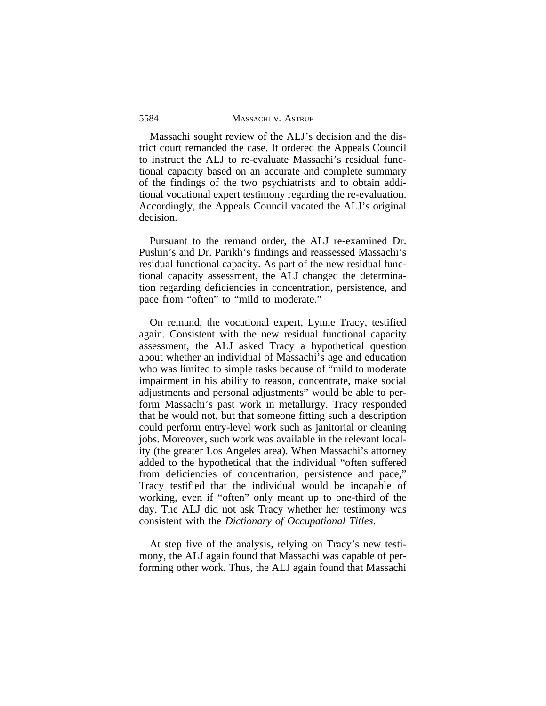| 5584 | MASSACHI V. ASTRUE |
|------|--------------------|
|      |                    |

Massachi sought review of the ALJ's decision and the district court remanded the case. It ordered the Appeals Council to instruct the ALJ to re-evaluate Massachi's residual functional capacity based on an accurate and complete summary of the findings of the two psychiatrists and to obtain additional vocational expert testimony regarding the re-evaluation. Accordingly, the Appeals Council vacated the ALJ's original decision.

Pursuant to the remand order, the ALJ re-examined Dr. Pushin's and Dr. Parikh's findings and reassessed Massachi's residual functional capacity. As part of the new residual functional capacity assessment, the ALJ changed the determination regarding deficiencies in concentration, persistence, and pace from "often" to "mild to moderate."

On remand, the vocational expert, Lynne Tracy, testified again. Consistent with the new residual functional capacity assessment, the ALJ asked Tracy a hypothetical question about whether an individual of Massachi's age and education who was limited to simple tasks because of "mild to moderate impairment in his ability to reason, concentrate, make social adjustments and personal adjustments" would be able to perform Massachi's past work in metallurgy. Tracy responded that he would not, but that someone fitting such a description could perform entry-level work such as janitorial or cleaning jobs. Moreover, such work was available in the relevant locality (the greater Los Angeles area). When Massachi's attorney added to the hypothetical that the individual "often suffered from deficiencies of concentration, persistence and pace," Tracy testified that the individual would be incapable of working, even if "often" only meant up to one-third of the day. The ALJ did not ask Tracy whether her testimony was consistent with the *Dictionary of Occupational Titles*.

At step five of the analysis, relying on Tracy's new testimony, the ALJ again found that Massachi was capable of performing other work. Thus, the ALJ again found that Massachi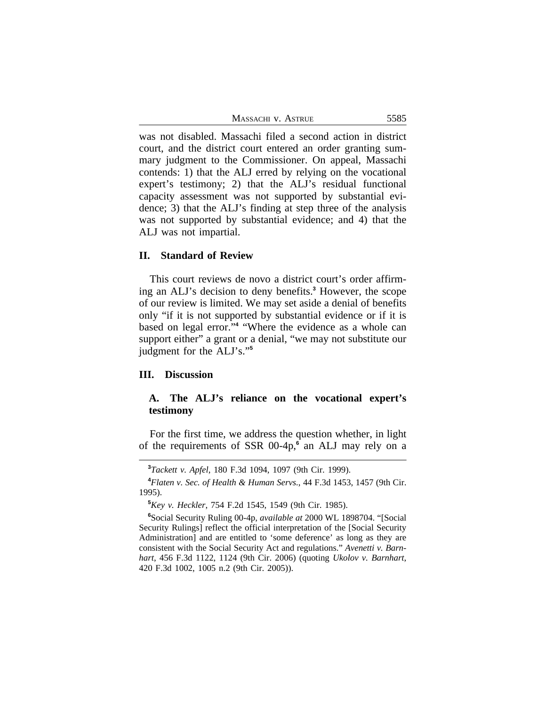MASSACHI V. ASTRUE 5585

was not disabled. Massachi filed a second action in district court, and the district court entered an order granting summary judgment to the Commissioner. On appeal, Massachi contends: 1) that the ALJ erred by relying on the vocational expert's testimony; 2) that the ALJ's residual functional capacity assessment was not supported by substantial evidence; 3) that the ALJ's finding at step three of the analysis was not supported by substantial evidence; and 4) that the ALJ was not impartial.

#### **II. Standard of Review**

This court reviews de novo a district court's order affirming an ALJ's decision to deny benefits.**<sup>3</sup>** However, the scope of our review is limited. We may set aside a denial of benefits only "if it is not supported by substantial evidence or if it is based on legal error." **4** "Where the evidence as a whole can support either" a grant or a denial, "we may not substitute our judgment for the ALJ's." **5**

## **III. Discussion**

## **A. The ALJ's reliance on the vocational expert's testimony**

For the first time, we address the question whether, in light of the requirements of SSR 00-4p,<sup>6</sup> an ALJ may rely on a

**<sup>3</sup>***Tackett v. Apfel*, 180 F.3d 1094, 1097 (9th Cir. 1999).

**<sup>4</sup>***Flaten v. Sec. of Health & Human Servs.*, 44 F.3d 1453, 1457 (9th Cir. 1995).

**<sup>5</sup>***Key v. Heckler*, 754 F.2d 1545, 1549 (9th Cir. 1985).

**<sup>6</sup>**Social Security Ruling 00-4p, *available at* 2000 WL 1898704. "[Social Security Rulings] reflect the official interpretation of the [Social Security Administration] and are entitled to 'some deference' as long as they are consistent with the Social Security Act and regulations." *Avenetti v. Barnhart*, 456 F.3d 1122, 1124 (9th Cir. 2006) (quoting *Ukolov v. Barnhart*, 420 F.3d 1002, 1005 n.2 (9th Cir. 2005)).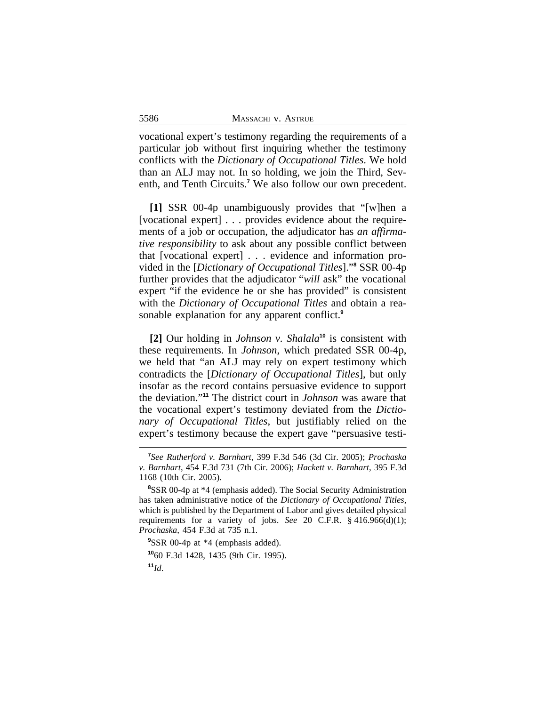| 5586 | MASSACHI V. ASTRUE |
|------|--------------------|
|      |                    |

vocational expert's testimony regarding the requirements of a particular job without first inquiring whether the testimony conflicts with the *Dictionary of Occupational Titles*. We hold than an ALJ may not. In so holding, we join the Third, Seventh, and Tenth Circuits.**<sup>7</sup>** We also follow our own precedent.

**[1]** SSR 00-4p unambiguously provides that "[w]hen a [vocational expert] . . . provides evidence about the requirements of a job or occupation, the adjudicator has *an affirmative responsibility* to ask about any possible conflict between that [vocational expert] . . . evidence and information provided in the [*Dictionary of Occupational Titles*]." **8** SSR 00-4p further provides that the adjudicator "*will* ask" the vocational expert "if the evidence he or she has provided" is consistent with the *Dictionary of Occupational Titles* and obtain a reasonable explanation for any apparent conflict.**<sup>9</sup>**

**[2]** Our holding in *Johnson v. Shalala***<sup>10</sup>** is consistent with these requirements. In *Johnson*, which predated SSR 00-4p, we held that "an ALJ may rely on expert testimony which contradicts the [*Dictionary of Occupational Titles*], but only insofar as the record contains persuasive evidence to support the deviation." **<sup>11</sup>** The district court in *Johnson* was aware that the vocational expert's testimony deviated from the *Dictionary of Occupational Titles*, but justifiably relied on the expert's testimony because the expert gave "persuasive testi-

 $11<sub>Id</sub>$ 

**<sup>7</sup>** *See Rutherford v. Barnhart*, 399 F.3d 546 (3d Cir. 2005); *Prochaska v. Barnhart*, 454 F.3d 731 (7th Cir. 2006); *Hackett v. Barnhart*, 395 F.3d 1168 (10th Cir. 2005).

**<sup>8</sup>**SSR 00-4p at \*4 (emphasis added). The Social Security Administration has taken administrative notice of the *Dictionary of Occupational Titles*, which is published by the Department of Labor and gives detailed physical requirements for a variety of jobs. *See* 20 C.F.R. § 416.966(d)(1); *Prochaska*, 454 F.3d at 735 n.1.

<sup>&</sup>lt;sup>9</sup>SSR 00-4p at \*4 (emphasis added).

**<sup>10</sup>**60 F.3d 1428, 1435 (9th Cir. 1995).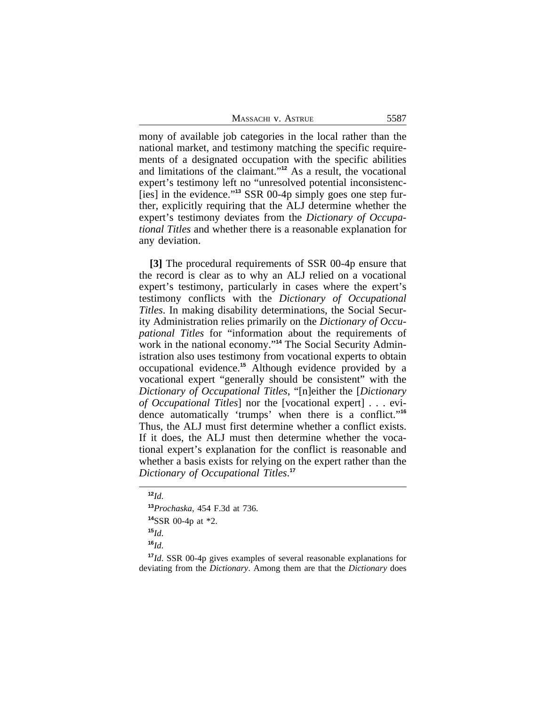| 5587<br>Massachi v. Astrue |  |
|----------------------------|--|
|----------------------------|--|

mony of available job categories in the local rather than the national market, and testimony matching the specific requirements of a designated occupation with the specific abilities and limitations of the claimant." **<sup>12</sup>** As a result, the vocational expert's testimony left no "unresolved potential inconsistenc- [ies] in the evidence." **13** SSR 00-4p simply goes one step further, explicitly requiring that the ALJ determine whether the expert's testimony deviates from the *Dictionary of Occupational Titles* and whether there is a reasonable explanation for any deviation.

**[3]** The procedural requirements of SSR 00-4p ensure that the record is clear as to why an ALJ relied on a vocational expert's testimony, particularly in cases where the expert's testimony conflicts with the *Dictionary of Occupational Titles*. In making disability determinations, the Social Security Administration relies primarily on the *Dictionary of Occupational Titles* for "information about the requirements of work in the national economy." **14** The Social Security Administration also uses testimony from vocational experts to obtain occupational evidence.**<sup>15</sup>** Although evidence provided by a vocational expert "generally should be consistent" with the *Dictionary of Occupational Titles*, "[n]either the [*Dictionary of Occupational Titles*] nor the [vocational expert] . . . evidence automatically 'trumps' when there is a conflict." **16** Thus, the ALJ must first determine whether a conflict exists. If it does, the ALJ must then determine whether the vocational expert's explanation for the conflict is reasonable and whether a basis exists for relying on the expert rather than the *Dictionary of Occupational Titles*. **17**

**<sup>16</sup>***Id*.

**<sup>17</sup>***Id*. SSR 00-4p gives examples of several reasonable explanations for deviating from the *Dictionary*. Among them are that the *Dictionary* does

**<sup>12</sup>***Id*.

**<sup>13</sup>***Prochaska*, 454 F.3d at 736.

**<sup>14</sup>**SSR 00-4p at \*2.

**<sup>15</sup>***Id*.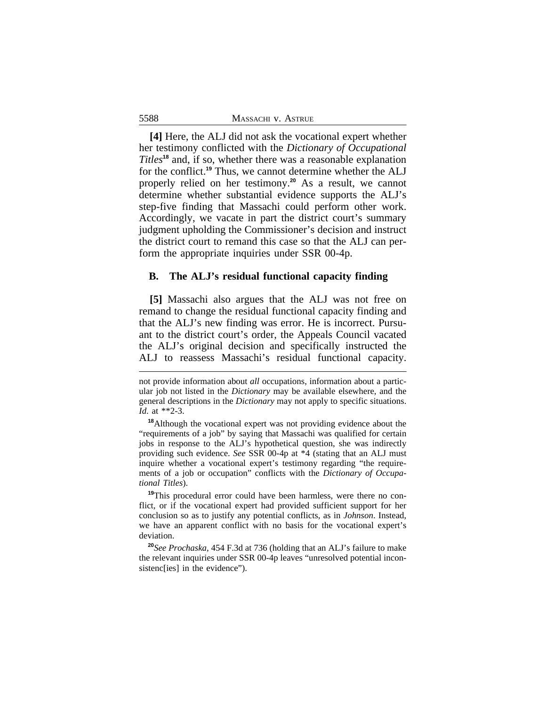**[4]** Here, the ALJ did not ask the vocational expert whether her testimony conflicted with the *Dictionary of Occupational Titles***<sup>18</sup>** and, if so, whether there was a reasonable explanation for the conflict.**<sup>19</sup>** Thus, we cannot determine whether the ALJ properly relied on her testimony.**<sup>20</sup>** As a result, we cannot determine whether substantial evidence supports the ALJ's step-five finding that Massachi could perform other work. Accordingly, we vacate in part the district court's summary judgment upholding the Commissioner's decision and instruct the district court to remand this case so that the ALJ can perform the appropriate inquiries under SSR 00-4p.

#### **B. The ALJ's residual functional capacity finding**

**[5]** Massachi also argues that the ALJ was not free on remand to change the residual functional capacity finding and that the ALJ's new finding was error. He is incorrect. Pursuant to the district court's order, the Appeals Council vacated the ALJ's original decision and specifically instructed the ALJ to reassess Massachi's residual functional capacity.

**<sup>19</sup>**This procedural error could have been harmless, were there no conflict, or if the vocational expert had provided sufficient support for her conclusion so as to justify any potential conflicts, as in *Johnson*. Instead, we have an apparent conflict with no basis for the vocational expert's deviation.

**<sup>20</sup>***See Prochaska*, 454 F.3d at 736 (holding that an ALJ's failure to make the relevant inquiries under SSR 00-4p leaves "unresolved potential inconsistenc[ies] in the evidence").

not provide information about *all* occupations, information about a particular job not listed in the *Dictionary* may be available elsewhere, and the general descriptions in the *Dictionary* may not apply to specific situations. *Id*. at \*\*2-3.

**<sup>18</sup>**Although the vocational expert was not providing evidence about the "requirements of a job" by saying that Massachi was qualified for certain jobs in response to the ALJ's hypothetical question, she was indirectly providing such evidence. *See* SSR 00-4p at \*4 (stating that an ALJ must inquire whether a vocational expert's testimony regarding "the requirements of a job or occupation" conflicts with the *Dictionary of Occupational Titles*).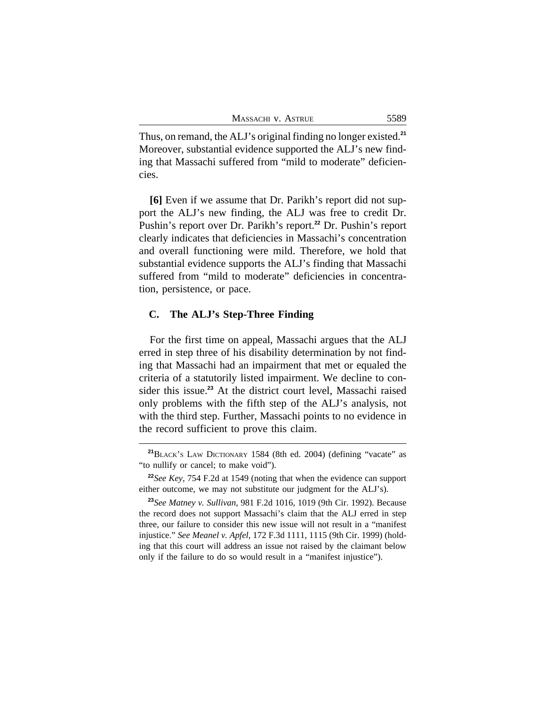Thus, on remand, the ALJ's original finding no longer existed.**<sup>21</sup>** Moreover, substantial evidence supported the ALJ's new finding that Massachi suffered from "mild to moderate" deficiencies.

**[6]** Even if we assume that Dr. Parikh's report did not support the ALJ's new finding, the ALJ was free to credit Dr. Pushin's report over Dr. Parikh's report.**<sup>22</sup>** Dr. Pushin's report clearly indicates that deficiencies in Massachi's concentration and overall functioning were mild. Therefore, we hold that substantial evidence supports the ALJ's finding that Massachi suffered from "mild to moderate" deficiencies in concentration, persistence, or pace.

### **C. The ALJ's Step-Three Finding**

For the first time on appeal, Massachi argues that the ALJ erred in step three of his disability determination by not finding that Massachi had an impairment that met or equaled the criteria of a statutorily listed impairment. We decline to consider this issue.**<sup>23</sup>** At the district court level, Massachi raised only problems with the fifth step of the ALJ's analysis, not with the third step. Further, Massachi points to no evidence in the record sufficient to prove this claim.

**<sup>21</sup>**BLACK'S LAW DICTIONARY 1584 (8th ed. 2004) (defining "vacate" as "to nullify or cancel; to make void").

**<sup>22</sup>***See Key*, 754 F.2d at 1549 (noting that when the evidence can support either outcome, we may not substitute our judgment for the ALJ's).

**<sup>23</sup>***See Matney v. Sullivan*, 981 F.2d 1016, 1019 (9th Cir. 1992). Because the record does not support Massachi's claim that the ALJ erred in step three, our failure to consider this new issue will not result in a "manifest injustice." *See Meanel v. Apfel*, 172 F.3d 1111, 1115 (9th Cir. 1999) (holding that this court will address an issue not raised by the claimant below only if the failure to do so would result in a "manifest injustice").